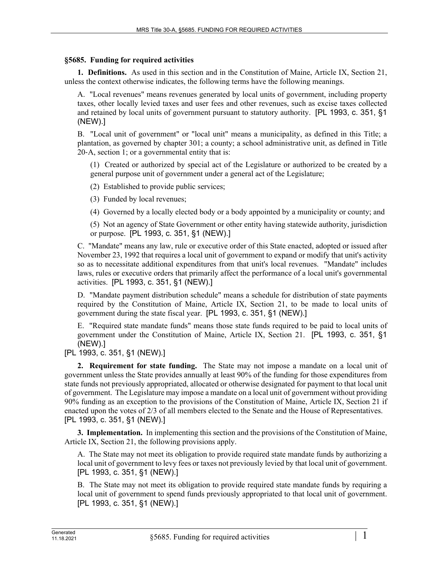## **§5685. Funding for required activities**

**1. Definitions.** As used in this section and in the Constitution of Maine, Article IX, Section 21, unless the context otherwise indicates, the following terms have the following meanings.

A. "Local revenues" means revenues generated by local units of government, including property taxes, other locally levied taxes and user fees and other revenues, such as excise taxes collected and retained by local units of government pursuant to statutory authority. [PL 1993, c. 351, §1 (NEW).]

B. "Local unit of government" or "local unit" means a municipality, as defined in this Title; a plantation, as governed by chapter 301; a county; a school administrative unit, as defined in Title 20‑A, section 1; or a governmental entity that is:

(1) Created or authorized by special act of the Legislature or authorized to be created by a general purpose unit of government under a general act of the Legislature;

(2) Established to provide public services;

(3) Funded by local revenues;

(4) Governed by a locally elected body or a body appointed by a municipality or county; and

(5) Not an agency of State Government or other entity having statewide authority, jurisdiction or purpose. [PL 1993, c. 351, §1 (NEW).]

C. "Mandate" means any law, rule or executive order of this State enacted, adopted or issued after November 23, 1992 that requires a local unit of government to expand or modify that unit's activity so as to necessitate additional expenditures from that unit's local revenues. "Mandate" includes laws, rules or executive orders that primarily affect the performance of a local unit's governmental activities. [PL 1993, c. 351, §1 (NEW).]

D. "Mandate payment distribution schedule" means a schedule for distribution of state payments required by the Constitution of Maine, Article IX, Section 21, to be made to local units of government during the state fiscal year. [PL 1993, c. 351, §1 (NEW).]

E. "Required state mandate funds" means those state funds required to be paid to local units of government under the Constitution of Maine, Article IX, Section 21. [PL 1993, c. 351, §1 (NEW).]

[PL 1993, c. 351, §1 (NEW).]

**2. Requirement for state funding.** The State may not impose a mandate on a local unit of government unless the State provides annually at least 90% of the funding for those expenditures from state funds not previously appropriated, allocated or otherwise designated for payment to that local unit of government. The Legislature may impose a mandate on a local unit of government without providing 90% funding as an exception to the provisions of the Constitution of Maine, Article IX, Section 21 if enacted upon the votes of 2/3 of all members elected to the Senate and the House of Representatives. [PL 1993, c. 351, §1 (NEW).]

**3. Implementation.** In implementing this section and the provisions of the Constitution of Maine, Article IX, Section 21, the following provisions apply.

A. The State may not meet its obligation to provide required state mandate funds by authorizing a local unit of government to levy fees or taxes not previously levied by that local unit of government. [PL 1993, c. 351, §1 (NEW).]

B. The State may not meet its obligation to provide required state mandate funds by requiring a local unit of government to spend funds previously appropriated to that local unit of government. [PL 1993, c. 351, §1 (NEW).]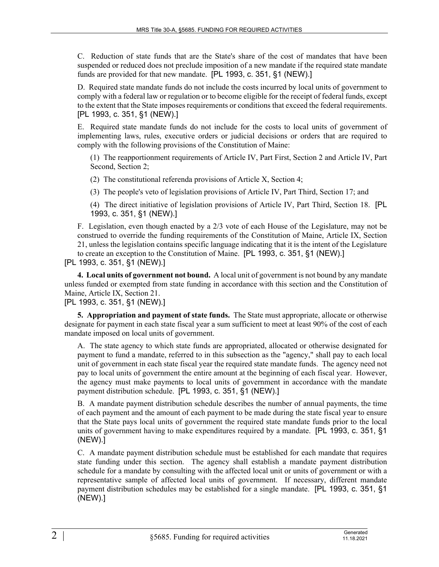C. Reduction of state funds that are the State's share of the cost of mandates that have been suspended or reduced does not preclude imposition of a new mandate if the required state mandate funds are provided for that new mandate. [PL 1993, c. 351, §1 (NEW).]

D. Required state mandate funds do not include the costs incurred by local units of government to comply with a federal law or regulation or to become eligible for the receipt of federal funds, except to the extent that the State imposes requirements or conditions that exceed the federal requirements. [PL 1993, c. 351, §1 (NEW).]

E. Required state mandate funds do not include for the costs to local units of government of implementing laws, rules, executive orders or judicial decisions or orders that are required to comply with the following provisions of the Constitution of Maine:

(1) The reapportionment requirements of Article IV, Part First, Section 2 and Article IV, Part Second, Section 2;

(2) The constitutional referenda provisions of Article X, Section 4;

(3) The people's veto of legislation provisions of Article IV, Part Third, Section 17; and

(4) The direct initiative of legislation provisions of Article IV, Part Third, Section 18. [PL 1993, c. 351, §1 (NEW).]

F. Legislation, even though enacted by a 2/3 vote of each House of the Legislature, may not be construed to override the funding requirements of the Constitution of Maine, Article IX, Section 21, unless the legislation contains specific language indicating that it is the intent of the Legislature to create an exception to the Constitution of Maine. [PL 1993, c. 351, §1 (NEW).]

[PL 1993, c. 351, §1 (NEW).]

**4. Local units of government not bound.** A local unit of government is not bound by any mandate unless funded or exempted from state funding in accordance with this section and the Constitution of Maine, Article IX, Section 21.

## [PL 1993, c. 351, §1 (NEW).]

**5. Appropriation and payment of state funds.** The State must appropriate, allocate or otherwise designate for payment in each state fiscal year a sum sufficient to meet at least 90% of the cost of each mandate imposed on local units of government.

A. The state agency to which state funds are appropriated, allocated or otherwise designated for payment to fund a mandate, referred to in this subsection as the "agency," shall pay to each local unit of government in each state fiscal year the required state mandate funds. The agency need not pay to local units of government the entire amount at the beginning of each fiscal year. However, the agency must make payments to local units of government in accordance with the mandate payment distribution schedule. [PL 1993, c. 351, §1 (NEW).]

B. A mandate payment distribution schedule describes the number of annual payments, the time of each payment and the amount of each payment to be made during the state fiscal year to ensure that the State pays local units of government the required state mandate funds prior to the local units of government having to make expenditures required by a mandate. [PL 1993, c. 351, §1 (NEW).]

C. A mandate payment distribution schedule must be established for each mandate that requires state funding under this section. The agency shall establish a mandate payment distribution schedule for a mandate by consulting with the affected local unit or units of government or with a representative sample of affected local units of government. If necessary, different mandate payment distribution schedules may be established for a single mandate. [PL 1993, c. 351, §1 (NEW).]